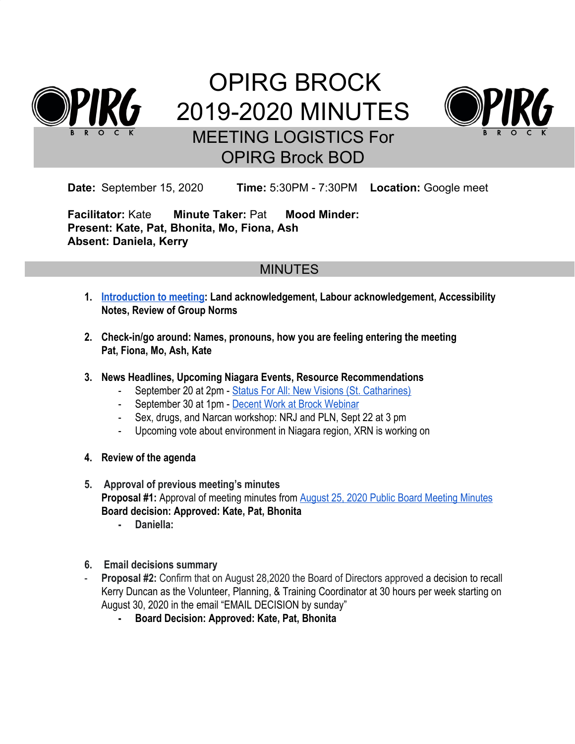

# OPIRG BROCK 2019-2020 MINUTES MEETING LOGISTICS For OPIRG Brock BOD



**Date:** September 15, 2020 **Time:** 5:30PM - 7:30PM **Location:** Google meet

**Facilitator:** Kate **Minute Taker:** Pat **Mood Minder: Present: Kate, Pat, Bhonita, Mo, Fiona, Ash Absent: Daniela, Kerry**

# MINUTES

- **1. [Introduction to meeting:](https://docs.google.com/document/u/1/d/1oq5QTQxiHg-sc3RS-rfF2ow0I8FZIC1TM6Ch9_1rR5E/edit) Land acknowledgement, Labour acknowledgement, Accessibility Notes, Review of Group Norms**
- **2. Check-in/go around: Names, pronouns, how you are feeling entering the meeting Pat, Fiona, Mo, Ash, Kate**
- **3. News Headlines, Upcoming Niagara Events, Resource Recommendations**
	- September 20 at 2pm [Status For All: New Visions \(St. Catharines\)](https://www.facebook.com/events/1479307995596534/)
	- September 30 at 1pm [Decent Work at Brock Webinar](https://www.facebook.com/events/3479833382077250/)
	- Sex, drugs, and Narcan workshop: NRJ and PLN, Sept 22 at 3 pm
	- Upcoming vote about environment in Niagara region, XRN is working on
- **4. Review of the agenda**
- **5. Approval of previous meeting's minutes Proposal #1:** Approval of meeting minutes from [August 25, 2020 Public Board Meeting Minutes](https://docs.google.com/document/d/14N7mcb7jq3JE7jdXTNjO8pmqS-f2nGZ8RuflIDnZ0tE/edit) **Board decision: Approved: Kate, Pat, Bhonita**
	- **- Daniella:**
- **6. Email decisions summary**
- Proposal #2: Confirm that on August 28,2020 the Board of Directors approved a decision to recall Kerry Duncan as the Volunteer, Planning, & Training Coordinator at 30 hours per week starting on August 30, 2020 in the email "EMAIL DECISION by sunday"
	- **- Board Decision: Approved: Kate, Pat, Bhonita**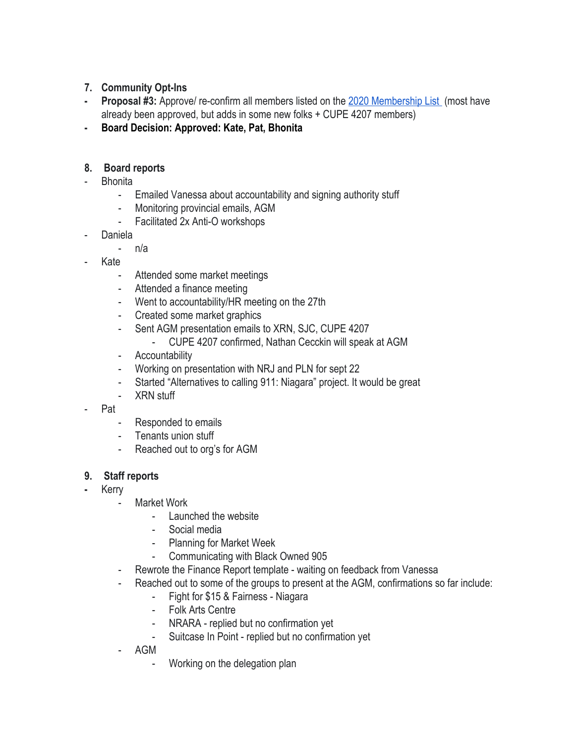- **7. Community Opt-Ins**
- **- Proposal #3:** Approve/ re-confirm all members listed on the [2020 Membership List](https://docs.google.com/spreadsheets/d/1sdIJyZ5bQkYo4RsoyjTn04jh9ZBBTiC-xfkVhXprxzc/edit#gid=1093826928) (most have already been approved, but adds in some new folks + CUPE 4207 members)
- **- Board Decision: Approved: Kate, Pat, Bhonita**

## **8. Board reports**

- **Bhonita** 
	- Emailed Vanessa about accountability and signing authority stuff
	- Monitoring provincial emails, AGM
	- Facilitated 2x Anti-O workshops
- **Daniela** 
	- n/a
- Kate
	- Attended some market meetings
	- Attended a finance meeting
	- Went to accountability/HR meeting on the 27th
	- Created some market graphics
	- Sent AGM presentation emails to XRN, SJC, CUPE 4207
		- CUPE 4207 confirmed, Nathan Cecckin will speak at AGM
	- Accountability
	- Working on presentation with NRJ and PLN for sept 22
	- Started "Alternatives to calling 911: Niagara" project. It would be great
	- XRN stuff
- Pat
	- Responded to emails
	- Tenants union stuff
	- Reached out to org's for AGM

## **9. Staff reports**

- **-** Kerry
	- Market Work
		- Launched the website
		- Social media
		- Planning for Market Week
		- Communicating with Black Owned 905
	- Rewrote the Finance Report template waiting on feedback from Vanessa
	- Reached out to some of the groups to present at the AGM, confirmations so far include:
		- Fight for \$15 & Fairness Niagara
		- Folk Arts Centre
		- NRARA replied but no confirmation yet
		- Suitcase In Point replied but no confirmation yet
	- AGM
		- Working on the delegation plan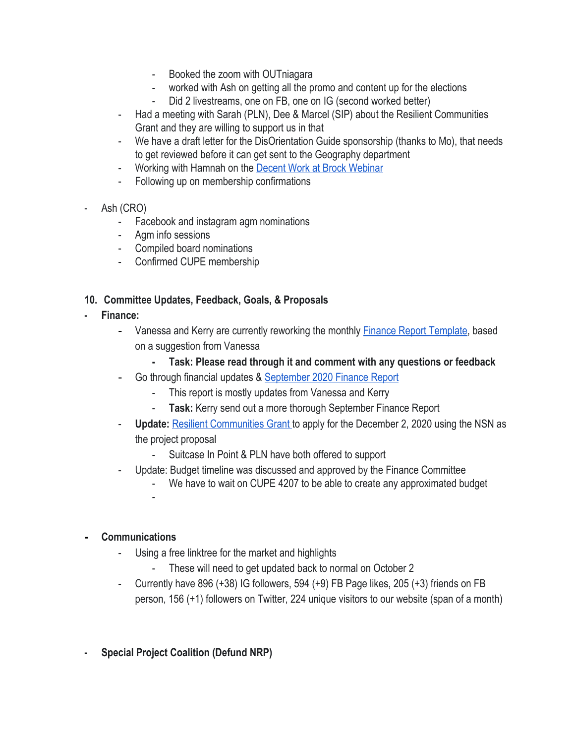- Booked the zoom with OUTniagara
- worked with Ash on getting all the promo and content up for the elections
- Did 2 livestreams, one on FB, one on IG (second worked better)
- Had a meeting with Sarah (PLN), Dee & Marcel (SIP) about the Resilient Communities Grant and they are willing to support us in that
- We have a draft letter for the DisOrientation Guide sponsorship (thanks to Mo), that needs to get reviewed before it can get sent to the Geography department
- Working with Hamnah on the [Decent Work at Brock Webinar](https://www.facebook.com/events/3479833382077250/)
- Following up on membership confirmations
- Ash (CRO)
	- Facebook and instagram agm nominations
	- Agm info sessions
	- Compiled board nominations
	- Confirmed CUPE membership

#### **10. Committee Updates, Feedback, Goals, & Proposals**

- **- Finance:**
	- Vanessa and Kerry are currently reworking the monthly [Finance Report Template,](https://docs.google.com/document/d/1yOq6BTfiOsOTFjlhIJDfOzw4p1-RdNhZ8VCuA5fiFAs/edit) based on a suggestion from Vanessa
		- **- Task: Please read through it and comment with any questions or feedback**
	- Go through financial updates & [September 2020 Finance Report](https://docs.google.com/document/d/1P42y2HHUU2Yqj-mlmSyCc3m6qbDuIJnsFEyMVxkKswo/edit)
		- This report is mostly updates from Vanessa and Kerry
		- **Task:** Kerry send out a more thorough September Finance Report
	- **Update:** [Resilient Communities Grant](https://otf.ca/resilient-communities-fund) to apply for the December 2, 2020 using the NSN as the project proposal
		- Suitcase In Point & PLN have both offered to support
	- Update: Budget timeline was discussed and approved by the Finance Committee
		- We have to wait on CUPE 4207 to be able to create any approximated budget
	-

-

#### **- Communications**

- Using a free linktree for the market and highlights
	- These will need to get updated back to normal on October 2
- Currently have 896 (+38) IG followers, 594 (+9) FB Page likes, 205 (+3) friends on FB person, 156 (+1) followers on Twitter, 224 unique visitors to our website (span of a month)
- **- Special Project Coalition (Defund NRP)**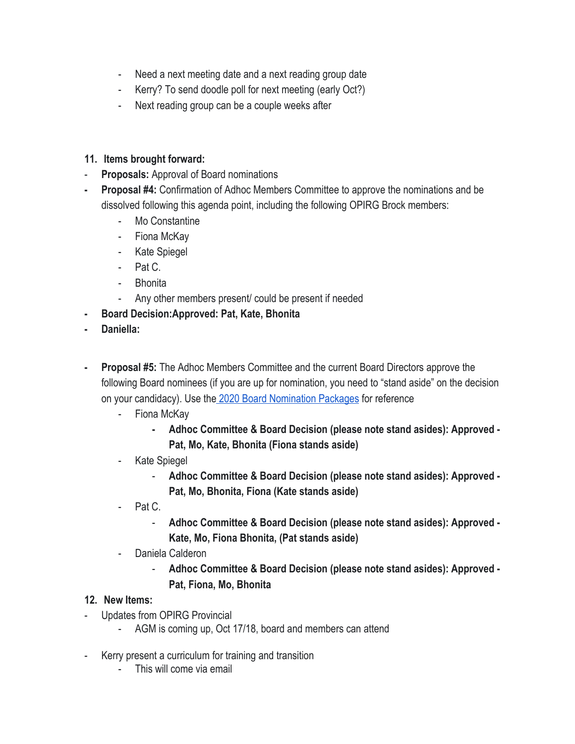- Need a next meeting date and a next reading group date
- Kerry? To send doodle poll for next meeting (early Oct?)
- Next reading group can be a couple weeks after

## **11. Items brought forward:**

- **Proposals:** Approval of Board nominations
- **- Proposal #4:** Confirmation of Adhoc Members Committee to approve the nominations and be dissolved following this agenda point, including the following OPIRG Brock members:
	- Mo Constantine
	- Fiona McKay
	- Kate Spiegel
	- Pat C.
	- Bhonita
	- Any other members present/ could be present if needed
- **- Board Decision:Approved: Pat, Kate, Bhonita**
- **- Daniella:**
- **- Proposal #5:** The Adhoc Members Committee and the current Board Directors approve the following Board nominees (if you are up for nomination, you need to "stand aside" on the decision on your candidacy). Use th[e 2020 Board Nomination Packages](https://docs.google.com/document/d/11uZsJDZoXc5CHtsBC0LK9FBEnXI9zdkouoA-Oaf8Usg/edit) for reference
	- Fiona McKay
		- **- Adhoc Committee & Board Decision (please note stand asides): Approved - Pat, Mo, Kate, Bhonita (Fiona stands aside)**
	- Kate Spiegel
		- **Adhoc Committee & Board Decision (please note stand asides): Approved - Pat, Mo, Bhonita, Fiona (Kate stands aside)**
	- Pat C.
		- **Adhoc Committee & Board Decision (please note stand asides): Approved - Kate, Mo, Fiona Bhonita, (Pat stands aside)**
	- Daniela Calderon
		- **Adhoc Committee & Board Decision (please note stand asides): Approved - Pat, Fiona, Mo, Bhonita**

## **12. New Items:**

- Updates from OPIRG Provincial
	- AGM is coming up, Oct 17/18, board and members can attend
- Kerry present a curriculum for training and transition
	- This will come via email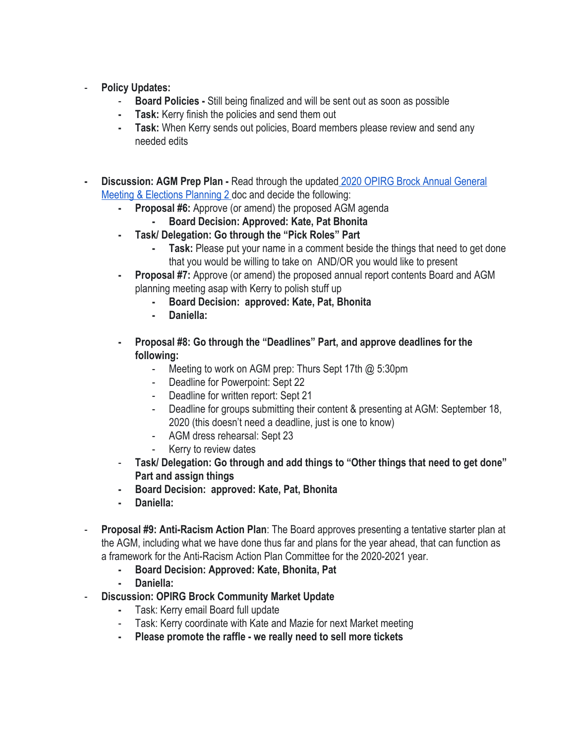- **Policy Updates:** 
	- **Board Policies** Still being finalized and will be sent out as soon as possible
	- **- Task:** Kerry finish the policies and send them out
	- **- Task:** When Kerry sends out policies, Board members please review and send any needed edits
- **- Discussion: AGM Prep Plan** Read through the updated [2020 OPIRG Brock Annual General](https://docs.google.com/document/d/16bkj_0_ZGFelP3sf2Fi-xZmc7MGCgzLHqmmZqCZgCgA/edit#heading=h.oo91wvwc9hnv) [Meeting & Elections Planning 2 d](https://docs.google.com/document/d/16bkj_0_ZGFelP3sf2Fi-xZmc7MGCgzLHqmmZqCZgCgA/edit#heading=h.oo91wvwc9hnv)oc and decide the following:
	- **- Proposal #6:** Approve (or amend) the proposed AGM agenda
		- **- Board Decision: Approved: Kate, Pat Bhonita**
	- **- Task/ Delegation: Go through the "Pick Roles" Part**
		- **Task:** Please put your name in a comment beside the things that need to get done that you would be willing to take on AND/OR you would like to present
	- **- Proposal #7:** Approve (or amend) the proposed annual report contents Board and AGM planning meeting asap with Kerry to polish stuff up
		- **- Board Decision: approved: Kate, Pat, Bhonita**
		- **- Daniella:**
	- **- Proposal #8: Go through the "Deadlines" Part, and approve deadlines for the following:**
		- Meeting to work on AGM prep: Thurs Sept 17th @ 5:30pm
		- Deadline for Powerpoint: Sept 22
		- Deadline for written report: Sept 21
		- Deadline for groups submitting their content & presenting at AGM: September 18, 2020 (this doesn't need a deadline, just is one to know)
		- AGM dress rehearsal: Sept 23
		- Kerry to review dates
	- **Task/ Delegation: Go through and add things to "Other things that need to get done" Part and assign things**
	- **- Board Decision: approved: Kate, Pat, Bhonita**
	- **- Daniella:**
- **Proposal #9: Anti-Racism Action Plan**: The Board approves presenting a tentative starter plan at the AGM, including what we have done thus far and plans for the year ahead, that can function as a framework for the Anti-Racism Action Plan Committee for the 2020-2021 year.
	- **- Board Decision: Approved: Kate, Bhonita, Pat**
	- **- Daniella:**
- **Discussion: OPIRG Brock Community Market Update**
	- **-** Task: Kerry email Board full update
	- Task: Kerry coordinate with Kate and Mazie for next Market meeting
	- **- Please promote the raffle we really need to sell more tickets**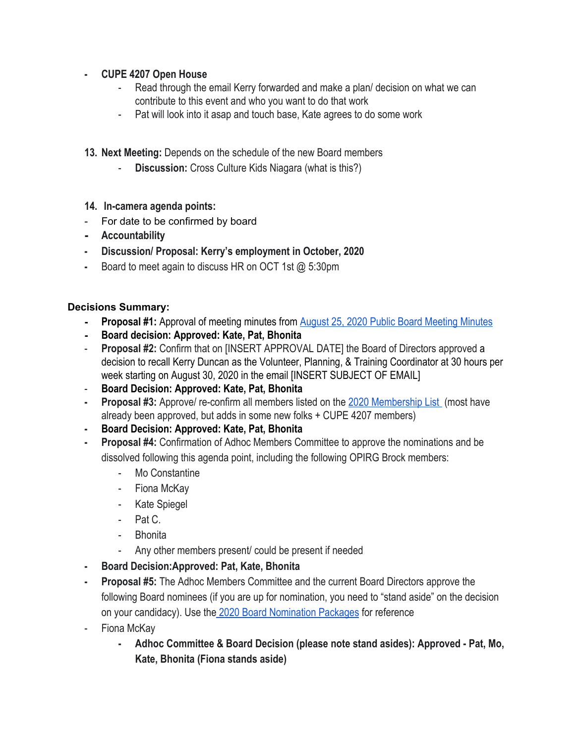### **- CUPE 4207 Open House**

- Read through the email Kerry forwarded and make a plan/ decision on what we can contribute to this event and who you want to do that work
- Pat will look into it asap and touch base, Kate agrees to do some work
- **13. Next Meeting:** Depends on the schedule of the new Board members
	- **Discussion:** Cross Culture Kids Niagara (what is this?)
- **14. In-camera agenda points:**
- For date to be confirmed by board
- **- Accountability**
- **- Discussion/ Proposal: Kerry's employment in October, 2020**
- **-** Board to meet again to discuss HR on OCT 1st @ 5:30pm

#### **Decisions Summary:**

- **- Proposal #1:** Approval of meeting minutes from [August 25, 2020 Public Board Meeting Minutes](https://docs.google.com/document/d/14N7mcb7jq3JE7jdXTNjO8pmqS-f2nGZ8RuflIDnZ0tE/edit)
- **- Board decision: Approved: Kate, Pat, Bhonita**
- **Proposal #2:** Confirm that on [INSERT APPROVAL DATE] the Board of Directors approved a decision to recall Kerry Duncan as the Volunteer, Planning, & Training Coordinator at 30 hours per week starting on August 30, 2020 in the email [INSERT SUBJECT OF EMAIL]
- **Board Decision: Approved: Kate, Pat, Bhonita**
- **- Proposal #3:** Approve/ re-confirm all members listed on the [2020 Membership List](https://docs.google.com/spreadsheets/d/1sdIJyZ5bQkYo4RsoyjTn04jh9ZBBTiC-xfkVhXprxzc/edit#gid=1093826928) (most have already been approved, but adds in some new folks + CUPE 4207 members)
- **- Board Decision: Approved: Kate, Pat, Bhonita**
- **- Proposal #4:** Confirmation of Adhoc Members Committee to approve the nominations and be dissolved following this agenda point, including the following OPIRG Brock members:
	- Mo Constantine
	- Fiona McKay
	- Kate Spiegel
	- Pat C.
	- **Bhonita**
	- Any other members present/ could be present if needed
- **- Board Decision:Approved: Pat, Kate, Bhonita**
- **- Proposal #5:** The Adhoc Members Committee and the current Board Directors approve the following Board nominees (if you are up for nomination, you need to "stand aside" on the decision on your candidacy). Use th[e 2020 Board Nomination Packages](https://docs.google.com/document/d/11uZsJDZoXc5CHtsBC0LK9FBEnXI9zdkouoA-Oaf8Usg/edit) for reference
- Fiona McKay
	- **- Adhoc Committee & Board Decision (please note stand asides): Approved Pat, Mo, Kate, Bhonita (Fiona stands aside)**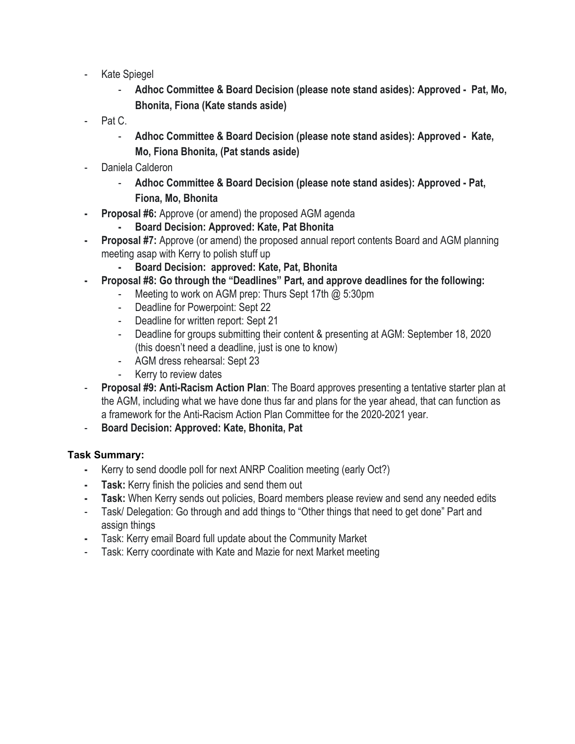- Kate Spiegel
	- **Adhoc Committee & Board Decision (please note stand asides): Approved Pat, Mo, Bhonita, Fiona (Kate stands aside)**
- Pat C.
	- **Adhoc Committee & Board Decision (please note stand asides): Approved Kate, Mo, Fiona Bhonita, (Pat stands aside)**
- Daniela Calderon
	- **Adhoc Committee & Board Decision (please note stand asides): Approved Pat, Fiona, Mo, Bhonita**
- **- Proposal #6:** Approve (or amend) the proposed AGM agenda
	- **- Board Decision: Approved: Kate, Pat Bhonita**
- **- Proposal #7:** Approve (or amend) the proposed annual report contents Board and AGM planning meeting asap with Kerry to polish stuff up
	- **- Board Decision: approved: Kate, Pat, Bhonita**
- **- Proposal #8: Go through the "Deadlines" Part, and approve deadlines for the following:**
	- Meeting to work on AGM prep: Thurs Sept 17th @ 5:30pm
	- Deadline for Powerpoint: Sept 22
	- Deadline for written report: Sept 21
	- Deadline for groups submitting their content & presenting at AGM: September 18, 2020 (this doesn't need a deadline, just is one to know)
	- AGM dress rehearsal: Sept 23
	- Kerry to review dates
- **Proposal #9: Anti-Racism Action Plan**: The Board approves presenting a tentative starter plan at the AGM, including what we have done thus far and plans for the year ahead, that can function as a framework for the Anti-Racism Action Plan Committee for the 2020-2021 year.
- **Board Decision: Approved: Kate, Bhonita, Pat**

#### **Task Summary:**

- **-** Kerry to send doodle poll for next ANRP Coalition meeting (early Oct?)
- **- Task:** Kerry finish the policies and send them out
- **- Task:** When Kerry sends out policies, Board members please review and send any needed edits
- Task/ Delegation: Go through and add things to "Other things that need to get done" Part and assign things
- **-** Task: Kerry email Board full update about the Community Market
- Task: Kerry coordinate with Kate and Mazie for next Market meeting